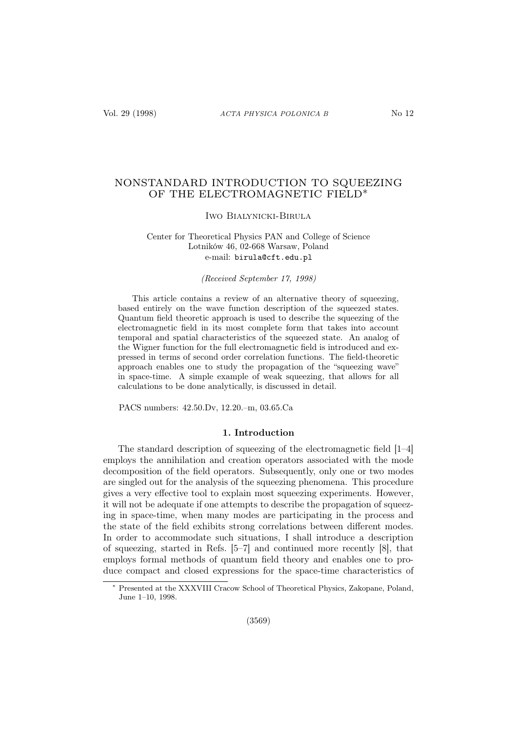# NONSTANDARD INTRODUCTION TO SQUEEZING OF THE ELECTROMAGNETIC FIELD∗

#### Iwo Bialynicki-Birula

## Center for Theoretical Physics PAN and College of Science Lotników 46, 02-668 Warsaw, Poland e-mail: birula@cft.edu.pl

## (Received September 17, 1998)

This article contains a review of an alternative theory of squeezing, based entirely on the wave function description of the squeezed states. Quantum field theoretic approach is used to describe the squeezing of the electromagnetic field in its most complete form that takes into account temporal and spatial characteristics of the squeezed state. An analog of the Wigner function for the full electromagnetic field is introduced and expressed in terms of second order correlation functions. The field-theoretic approach enables one to study the propagation of the "squeezing wave" in space-time. A simple example of weak squeezing, that allows for all calculations to be done analytically, is discussed in detail.

PACS numbers: 42.50.Dv, 12.20.–m, 03.65.Ca

## 1. Introduction

The standard description of squeezing of the electromagnetic field [1–4] employs the annihilation and creation operators associated with the mode decomposition of the field operators. Subsequently, only one or two modes are singled out for the analysis of the squeezing phenomena. This procedure gives a very effective tool to explain most squeezing experiments. However, it will not be adequate if one attempts to describe the propagation of squeezing in space-time, when many modes are participating in the process and the state of the field exhibits strong correlations between different modes. In order to accommodate such situations, I shall introduce a description of squeezing, started in Refs. [5–7] and continued more recently [8], that employs formal methods of quantum field theory and enables one to produce compact and closed expressions for the space-time characteristics of

Presented at the XXXVIII Cracow School of Theoretical Physics, Zakopane, Poland, June 1–10, 1998.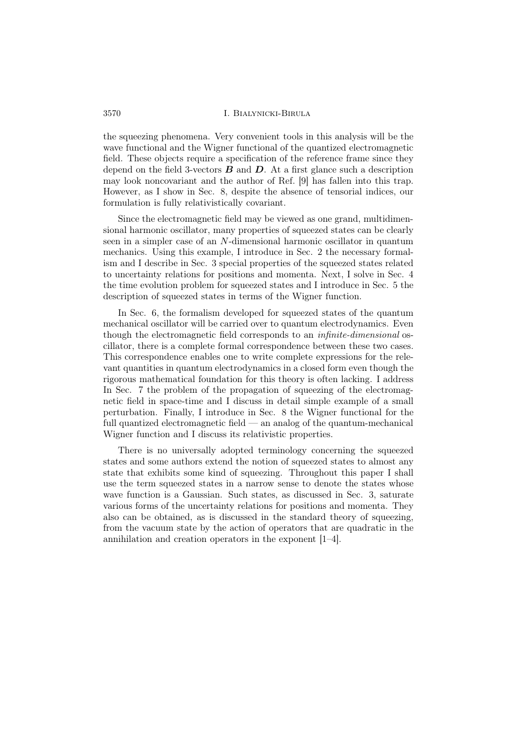the squeezing phenomena. Very convenient tools in this analysis will be the wave functional and the Wigner functional of the quantized electromagnetic field. These objects require a specification of the reference frame since they depend on the field 3-vectors  $\bf{B}$  and  $\bf{D}$ . At a first glance such a description may look noncovariant and the author of Ref. [9] has fallen into this trap. However, as I show in Sec. 8, despite the absence of tensorial indices, our formulation is fully relativistically covariant.

Since the electromagnetic field may be viewed as one grand, multidimensional harmonic oscillator, many properties of squeezed states can be clearly seen in a simpler case of an N-dimensional harmonic oscillator in quantum mechanics. Using this example, I introduce in Sec. 2 the necessary formalism and I describe in Sec. 3 special properties of the squeezed states related to uncertainty relations for positions and momenta. Next, I solve in Sec. 4 the time evolution problem for squeezed states and I introduce in Sec. 5 the description of squeezed states in terms of the Wigner function.

In Sec. 6, the formalism developed for squeezed states of the quantum mechanical oscillator will be carried over to quantum electrodynamics. Even though the electromagnetic field corresponds to an infinite-dimensional oscillator, there is a complete formal correspondence between these two cases. This correspondence enables one to write complete expressions for the relevant quantities in quantum electrodynamics in a closed form even though the rigorous mathematical foundation for this theory is often lacking. I address In Sec. 7 the problem of the propagation of squeezing of the electromagnetic field in space-time and I discuss in detail simple example of a small perturbation. Finally, I introduce in Sec. 8 the Wigner functional for the full quantized electromagnetic field — an analog of the quantum-mechanical Wigner function and I discuss its relativistic properties.

There is no universally adopted terminology concerning the squeezed states and some authors extend the notion of squeezed states to almost any state that exhibits some kind of squeezing. Throughout this paper I shall use the term squeezed states in a narrow sense to denote the states whose wave function is a Gaussian. Such states, as discussed in Sec. 3, saturate various forms of the uncertainty relations for positions and momenta. They also can be obtained, as is discussed in the standard theory of squeezing, from the vacuum state by the action of operators that are quadratic in the annihilation and creation operators in the exponent [1–4].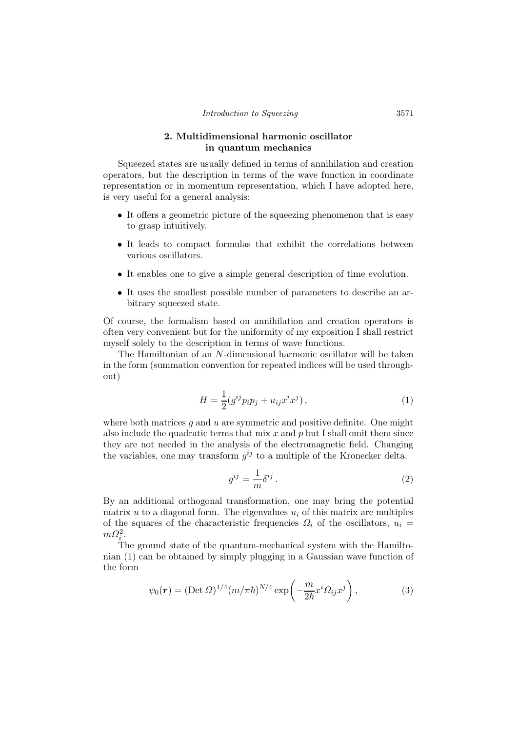## 2. Multidimensional harmonic oscillator in quantum mechanics

Squeezed states are usually defined in terms of annihilation and creation operators, but the description in terms of the wave function in coordinate representation or in momentum representation, which I have adopted here, is very useful for a general analysis:

- It offers a geometric picture of the squeezing phenomenon that is easy to grasp intuitively.
- It leads to compact formulas that exhibit the correlations between various oscillators.
- It enables one to give a simple general description of time evolution.
- It uses the smallest possible number of parameters to describe an arbitrary squeezed state.

Of course, the formalism based on annihilation and creation operators is often very convenient but for the uniformity of my exposition I shall restrict myself solely to the description in terms of wave functions.

The Hamiltonian of an N-dimensional harmonic oscillator will be taken in the form (summation convention for repeated indices will be used throughout)

$$
H = \frac{1}{2} (g^{ij} p_i p_j + u_{ij} x^i x^j),
$$
 (1)

where both matrices  $g$  and  $u$  are symmetric and positive definite. One might also include the quadratic terms that mix  $x$  and  $p$  but I shall omit them since they are not needed in the analysis of the electromagnetic field. Changing the variables, one may transform  $g^{ij}$  to a multiple of the Kronecker delta.

$$
g^{ij} = \frac{1}{m} \delta^{ij} \,. \tag{2}
$$

By an additional orthogonal transformation, one may bring the potential matrix u to a diagonal form. The eigenvalues  $u_i$  of this matrix are multiples of the squares of the characteristic frequencies  $\Omega_i$  of the oscillators,  $u_i =$  $m\Omega_i^2$ .

The ground state of the quantum-mechanical system with the Hamiltonian (1) can be obtained by simply plugging in a Gaussian wave function of the form

$$
\psi_0(\mathbf{r}) = (\text{Det } \Omega)^{1/4} (m/\pi \hbar)^{N/4} \exp\left(-\frac{m}{2\hbar} x^i \Omega_{ij} x^j\right),\tag{3}
$$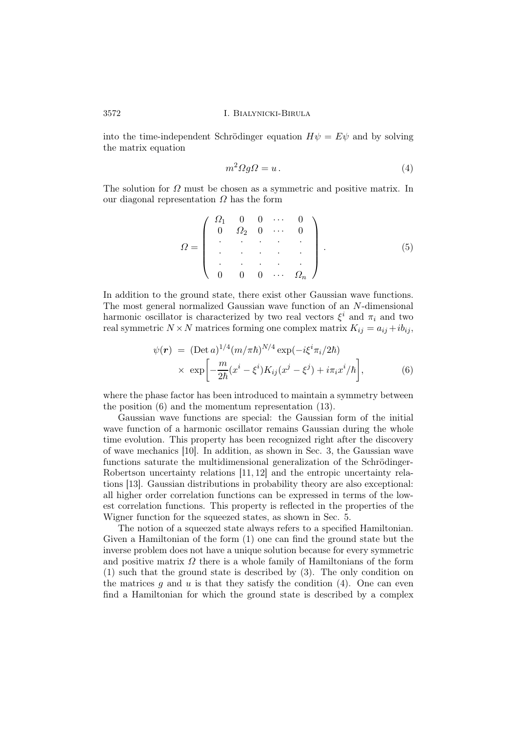into the time-independent Schrödinger equation  $H\psi = E\psi$  and by solving the matrix equation

$$
m^2 \Omega g \Omega = u \,. \tag{4}
$$

The solution for  $\Omega$  must be chosen as a symmetric and positive matrix. In our diagonal representation  $\Omega$  has the form

$$
\Omega = \left( \begin{array}{cccc} \Omega_1 & 0 & 0 & \cdots & 0 \\ 0 & \Omega_2 & 0 & \cdots & 0 \\ \vdots & \vdots & \vdots & \vdots \\ 0 & 0 & 0 & \cdots & \Omega_n \end{array} \right). \tag{5}
$$

In addition to the ground state, there exist other Gaussian wave functions. The most general normalized Gaussian wave function of an N-dimensional harmonic oscillator is characterized by two real vectors  $\xi^i$  and  $\pi_i$  and two real symmetric  $N \times N$  matrices forming one complex matrix  $K_{ij} = a_{ij} + ib_{ij}$ ,

$$
\psi(\mathbf{r}) = (\text{Det } a)^{1/4} (m/\pi \hbar)^{N/4} \exp(-i\xi^i \pi_i/2\hbar)
$$
  
 
$$
\times \exp\left[-\frac{m}{2\hbar} (x^i - \xi^i) K_{ij} (x^j - \xi^j) + i\pi_i x^i/\hbar\right], \tag{6}
$$

where the phase factor has been introduced to maintain a symmetry between the position (6) and the momentum representation (13).

Gaussian wave functions are special: the Gaussian form of the initial wave function of a harmonic oscillator remains Gaussian during the whole time evolution. This property has been recognized right after the discovery of wave mechanics [10]. In addition, as shown in Sec. 3, the Gaussian wave functions saturate the multidimensional generalization of the Schrödinger-Robertson uncertainty relations [11, 12] and the entropic uncertainty relations [13]. Gaussian distributions in probability theory are also exceptional: all higher order correlation functions can be expressed in terms of the lowest correlation functions. This property is reflected in the properties of the Wigner function for the squeezed states, as shown in Sec. 5.

The notion of a squeezed state always refers to a specified Hamiltonian. Given a Hamiltonian of the form (1) one can find the ground state but the inverse problem does not have a unique solution because for every symmetric and positive matrix  $\Omega$  there is a whole family of Hamiltonians of the form (1) such that the ground state is described by (3). The only condition on the matrices  $g$  and  $u$  is that they satisfy the condition (4). One can even find a Hamiltonian for which the ground state is described by a complex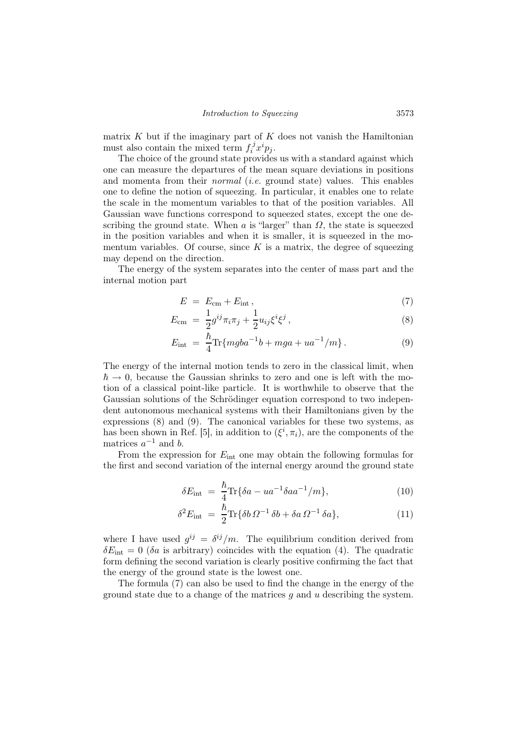matrix  $K$  but if the imaginary part of  $K$  does not vanish the Hamiltonian must also contain the mixed term  $f_i^j$  $i<sup>j</sup>x<sup>i</sup>p<sub>j</sub>$ .

The choice of the ground state provides us with a standard against which one can measure the departures of the mean square deviations in positions and momenta from their *normal* (*i.e.* ground state) values. This enables one to define the notion of squeezing. In particular, it enables one to relate the scale in the momentum variables to that of the position variables. All Gaussian wave functions correspond to squeezed states, except the one describing the ground state. When  $\alpha$  is "larger" than  $\Omega$ , the state is squeezed in the position variables and when it is smaller, it is squeezed in the momentum variables. Of course, since  $K$  is a matrix, the degree of squeezing may depend on the direction.

The energy of the system separates into the center of mass part and the internal motion part

$$
E = E_{\rm cm} + E_{\rm int} , \qquad (7)
$$

$$
E_{\rm cm} = \frac{1}{2} g^{ij} \pi_i \pi_j + \frac{1}{2} u_{ij} \xi^i \xi^j , \qquad (8)
$$

$$
E_{\rm int} = \frac{\hbar}{4} \text{Tr} \{ m g b a^{-1} b + m g a + u a^{-1} / m \}.
$$
 (9)

The energy of the internal motion tends to zero in the classical limit, when  $\hbar \rightarrow 0$ , because the Gaussian shrinks to zero and one is left with the motion of a classical point-like particle. It is worthwhile to observe that the Gaussian solutions of the Schrödinger equation correspond to two independent autonomous mechanical systems with their Hamiltonians given by the expressions (8) and (9). The canonical variables for these two systems, as has been shown in Ref. [5], in addition to  $(\xi^i, \pi_i)$ , are the components of the matrices  $a^{-1}$  and b.

From the expression for  $E_{\text{int}}$  one may obtain the following formulas for the first and second variation of the internal energy around the ground state

$$
\delta E_{\rm int} = \frac{\hbar}{4} \text{Tr} \{ \delta a - u a^{-1} \delta a a^{-1} / m \}, \tag{10}
$$

$$
\delta^2 E_{\rm int} = \frac{\hbar}{2} \text{Tr} \{ \delta b \, \Omega^{-1} \, \delta b + \delta a \, \Omega^{-1} \, \delta a \},\tag{11}
$$

where I have used  $g^{ij} = \delta^{ij}/m$ . The equilibrium condition derived from  $\delta E_{\text{int}} = 0$  (δa is arbitrary) coincides with the equation (4). The quadratic form defining the second variation is clearly positive confirming the fact that the energy of the ground state is the lowest one.

The formula (7) can also be used to find the change in the energy of the ground state due to a change of the matrices q and  $u$  describing the system.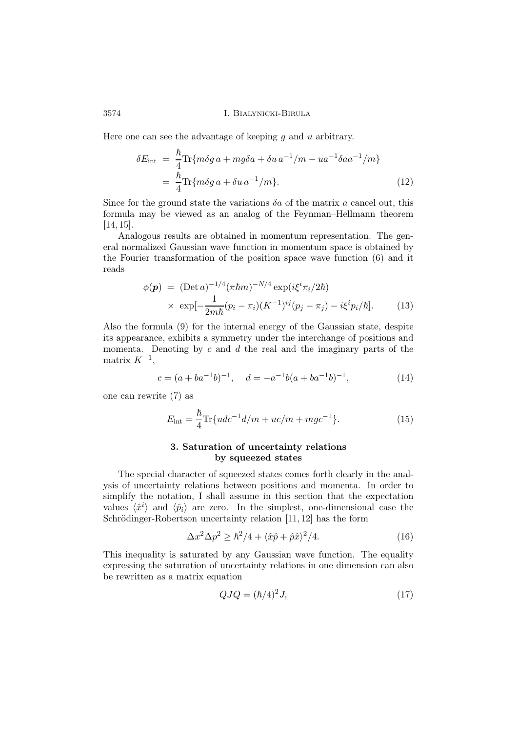Here one can see the advantage of keeping q and  $u$  arbitrary.

$$
\delta E_{\rm int} = \frac{\hbar}{4} \text{Tr} \{ m \delta g \, a + m g \delta a + \delta u \, a^{-1} / m - u a^{-1} \delta a a^{-1} / m \}
$$
\n
$$
= \frac{\hbar}{4} \text{Tr} \{ m \delta g \, a + \delta u \, a^{-1} / m \}. \tag{12}
$$

Since for the ground state the variations  $\delta a$  of the matrix a cancel out, this formula may be viewed as an analog of the Feynman–Hellmann theorem [14, 15].

Analogous results are obtained in momentum representation. The general normalized Gaussian wave function in momentum space is obtained by the Fourier transformation of the position space wave function (6) and it reads

$$
\phi(\mathbf{p}) = (\text{Det } a)^{-1/4} (\pi \hbar m)^{-N/4} \exp(i\xi^i \pi_i / 2\hbar)
$$
  
 
$$
\times \exp[-\frac{1}{2m\hbar} (p_i - \pi_i) (K^{-1})^{ij} (p_j - \pi_j) - i\xi^i p_i / \hbar]. \tag{13}
$$

Also the formula (9) for the internal energy of the Gaussian state, despite its appearance, exhibits a symmetry under the interchange of positions and momenta. Denoting by  $c$  and  $d$  the real and the imaginary parts of the matrix  $K^{-1}$ ,

$$
c = (a + ba^{-1}b)^{-1}, \quad d = -a^{-1}b(a + ba^{-1}b)^{-1}, \tag{14}
$$

one can rewrite (7) as

$$
E_{\rm int} = \frac{\hbar}{4} \text{Tr} \{ udc^{-1}d/m + uc/m + mgc^{-1} \}. \tag{15}
$$

# 3. Saturation of uncertainty relations by squeezed states

The special character of squeezed states comes forth clearly in the analysis of uncertainty relations between positions and momenta. In order to simplify the notation, I shall assume in this section that the expectation values  $\langle \hat{x}^i \rangle$  and  $\langle \hat{p}_i \rangle$  are zero. In the simplest, one-dimensional case the Schrödinger-Robertson uncertainty relation [11, 12] has the form

$$
\Delta x^2 \Delta p^2 \ge \hbar^2 / 4 + \langle \hat{x} \hat{p} + \hat{p} \hat{x} \rangle^2 / 4. \tag{16}
$$

This inequality is saturated by any Gaussian wave function. The equality expressing the saturation of uncertainty relations in one dimension can also be rewritten as a matrix equation

$$
QJQ = (\hbar/4)^2 J,\t(17)
$$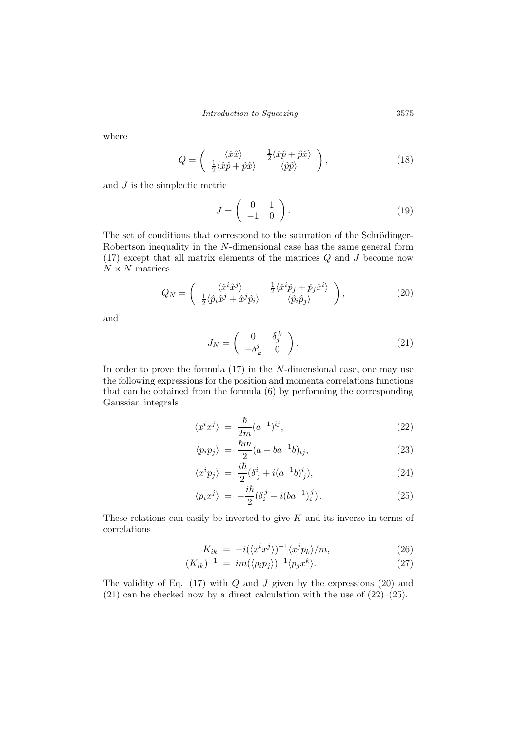where

$$
Q = \begin{pmatrix} \langle \hat{x}\hat{x} \rangle & \frac{1}{2} \langle \hat{x}\hat{p} + \hat{p}\hat{x} \rangle \\ \frac{1}{2} \langle \hat{x}\hat{p} + \hat{p}\hat{x} \rangle & \langle \hat{p}\hat{p} \rangle \end{pmatrix},
$$
(18)

and J is the simplectic metric

$$
J = \left(\begin{array}{cc} 0 & 1 \\ -1 & 0 \end{array}\right). \tag{19}
$$

The set of conditions that correspond to the saturation of the Schrödinger-Robertson inequality in the N-dimensional case has the same general form (17) except that all matrix elements of the matrices Q and J become now  $N \times N$  matrices

$$
Q_N = \begin{pmatrix} \langle \hat{x}^i \hat{x}^j \rangle & \frac{1}{2} \langle \hat{x}^i \hat{p}_j + \hat{p}_j \hat{x}^i \rangle \\ \frac{1}{2} \langle \hat{p}_i \hat{x}^j + \hat{x}^j \hat{p}_i \rangle & \langle \hat{p}_i \hat{p}_j \rangle \end{pmatrix},
$$
(20)

and

$$
J_N = \begin{pmatrix} 0 & \delta_j^k \\ -\delta_k^j & 0 \end{pmatrix} . \tag{21}
$$

In order to prove the formula  $(17)$  in the N-dimensional case, one may use the following expressions for the position and momenta correlations functions that can be obtained from the formula (6) by performing the corresponding Gaussian integrals

$$
\langle x^i x^j \rangle = \frac{\hbar}{2m} (a^{-1})^{ij}, \qquad (22)
$$

$$
\langle p_i p_j \rangle = \frac{\hbar m}{2} (a + b a^{-1} b)_{ij}, \qquad (23)
$$

$$
\langle x^i p_j \rangle = \frac{i\hbar}{2} (\delta^i_j + i(a^{-1}b)^i_j), \tag{24}
$$

$$
\langle p_i x^j \rangle = -\frac{i\hbar}{2} (\delta_i^j - i(ba^{-1})_i^j). \tag{25}
$$

These relations can easily be inverted to give  $K$  and its inverse in terms of correlations

$$
K_{ik} = -i(\langle x^i x^j \rangle)^{-1} \langle x^j p_k \rangle / m, \qquad (26)
$$

$$
(K_{ik})^{-1} = im(\langle p_i p_j \rangle)^{-1} \langle p_j x^k \rangle. \tag{27}
$$

The validity of Eq.  $(17)$  with  $Q$  and  $J$  given by the expressions  $(20)$  and  $(21)$  can be checked now by a direct calculation with the use of  $(22)$ – $(25)$ .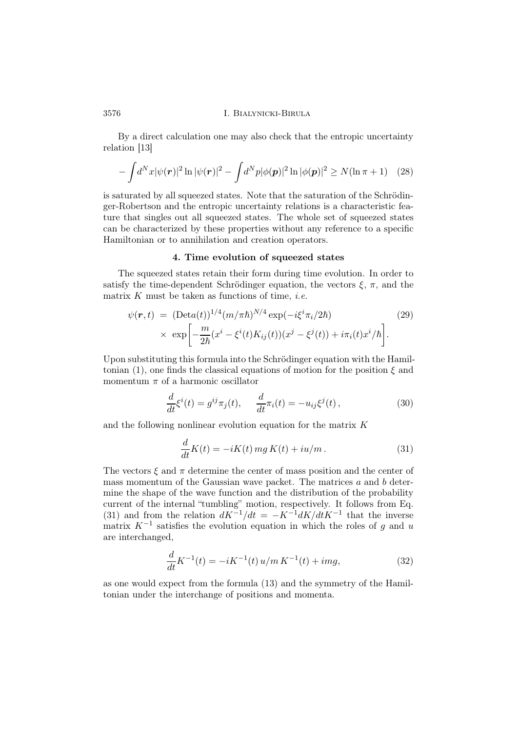By a direct calculation one may also check that the entropic uncertainty relation [13]

$$
-\int d^N x |\psi(\mathbf{r})|^2 \ln |\psi(\mathbf{r})|^2 - \int d^N p |\phi(\mathbf{p})|^2 \ln |\phi(\mathbf{p})|^2 \ge N(\ln \pi + 1) \quad (28)
$$

is saturated by all squeezed states. Note that the saturation of the Schrödinger-Robertson and the entropic uncertainty relations is a characteristic feature that singles out all squeezed states. The whole set of squeezed states can be characterized by these properties without any reference to a specific Hamiltonian or to annihilation and creation operators.

#### 4. Time evolution of squeezed states

The squeezed states retain their form during time evolution. In order to satisfy the time-dependent Schrödinger equation, the vectors  $\xi$ ,  $\pi$ , and the matrix  $K$  must be taken as functions of time, *i.e.* 

$$
\psi(\mathbf{r},t) = (\text{Det}a(t))^{1/4} (m/\pi\hbar)^{N/4} \exp(-i\xi^i \pi_i/2\hbar)
$$
\n
$$
\times \exp\left[-\frac{m}{2\hbar}(x^i - \xi^i(t)K_{ij}(t))(x^j - \xi^j(t)) + i\pi_i(t)x^i/\hbar\right].
$$
\n(29)

Upon substituting this formula into the Schrödinger equation with the Hamiltonian (1), one finds the classical equations of motion for the position  $\xi$  and momentum  $\pi$  of a harmonic oscillator

$$
\frac{d}{dt}\xi^{i}(t) = g^{ij}\pi_{j}(t), \quad \frac{d}{dt}\pi_{i}(t) = -u_{ij}\xi^{j}(t), \qquad (30)
$$

and the following nonlinear evolution equation for the matrix K

$$
\frac{d}{dt}K(t) = -iK(t)mgK(t) + iu/m.
$$
\n(31)

The vectors  $\xi$  and  $\pi$  determine the center of mass position and the center of mass momentum of the Gaussian wave packet. The matrices  $a$  and  $b$  determine the shape of the wave function and the distribution of the probability current of the internal "tumbling" motion, respectively. It follows from Eq. (31) and from the relation  $dK^{-1}/dt = -K^{-1}dK/dtK^{-1}$  that the inverse matrix  $K^{-1}$  satisfies the evolution equation in which the roles of g and u are interchanged,

$$
\frac{d}{dt}K^{-1}(t) = -iK^{-1}(t)u/m K^{-1}(t) + img,
$$
\n(32)

as one would expect from the formula (13) and the symmetry of the Hamiltonian under the interchange of positions and momenta.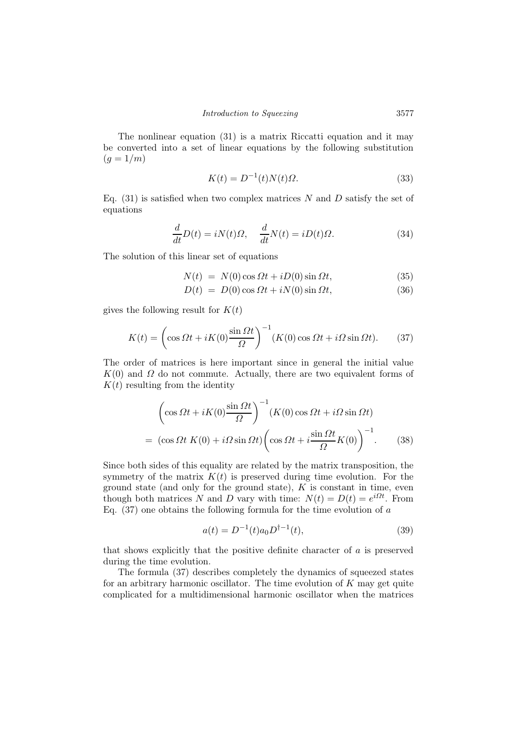The nonlinear equation (31) is a matrix Riccatti equation and it may be converted into a set of linear equations by the following substitution  $(q = 1/m)$ 

$$
K(t) = D^{-1}(t)N(t)\Omega.
$$
\n(33)

Eq.  $(31)$  is satisfied when two complex matrices N and D satisfy the set of equations

$$
\frac{d}{dt}D(t) = iN(t)\Omega, \quad \frac{d}{dt}N(t) = iD(t)\Omega.
$$
\n(34)

The solution of this linear set of equations

$$
N(t) = N(0)\cos\Omega t + iD(0)\sin\Omega t, \qquad (35)
$$

$$
D(t) = D(0)\cos \Omega t + iN(0)\sin \Omega t, \qquad (36)
$$

gives the following result for  $K(t)$ 

$$
K(t) = \left(\cos \Omega t + iK(0)\frac{\sin \Omega t}{\Omega}\right)^{-1} (K(0)\cos \Omega t + i\Omega \sin \Omega t). \tag{37}
$$

The order of matrices is here important since in general the initial value  $K(0)$  and  $\Omega$  do not commute. Actually, there are two equivalent forms of  $K(t)$  resulting from the identity

$$
\left(\cos \Omega t + iK(0)\frac{\sin \Omega t}{\Omega}\right)^{-1} (K(0)\cos \Omega t + i\Omega \sin \Omega t)
$$

$$
= (\cos \Omega t \ K(0) + i\Omega \sin \Omega t) \left(\cos \Omega t + i\frac{\sin \Omega t}{\Omega} K(0)\right)^{-1}.
$$
(38)

Since both sides of this equality are related by the matrix transposition, the symmetry of the matrix  $K(t)$  is preserved during time evolution. For the ground state (and only for the ground state),  $K$  is constant in time, even though both matrices N and D vary with time:  $N(t) = D(t) = e^{i\Omega t}$ . From Eq.  $(37)$  one obtains the following formula for the time evolution of a

$$
a(t) = D^{-1}(t)a_0 D^{\dagger - 1}(t),
$$
\n(39)

that shows explicitly that the positive definite character of a is preserved during the time evolution.

The formula (37) describes completely the dynamics of squeezed states for an arbitrary harmonic oscillator. The time evolution of  $K$  may get quite complicated for a multidimensional harmonic oscillator when the matrices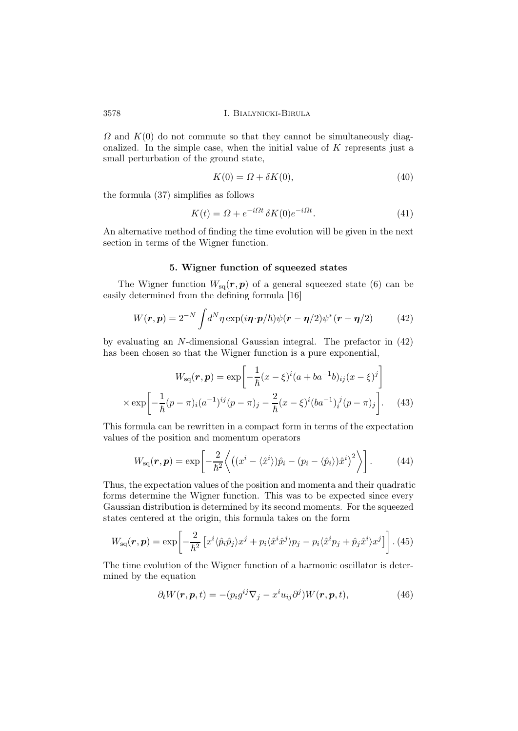$\Omega$  and  $K(0)$  do not commute so that they cannot be simultaneously diagonalized. In the simple case, when the initial value of  $K$  represents just a small perturbation of the ground state,

$$
K(0) = \Omega + \delta K(0),\tag{40}
$$

the formula (37) simplifies as follows

$$
K(t) = \Omega + e^{-i\Omega t} \delta K(0) e^{-i\Omega t}.
$$
\n(41)

An alternative method of finding the time evolution will be given in the next section in terms of the Wigner function.

#### 5. Wigner function of squeezed states

The Wigner function  $W_{\rm sq}(r, p)$  of a general squeezed state (6) can be easily determined from the defining formula [16]

$$
W(\mathbf{r}, \mathbf{p}) = 2^{-N} \int d^N \eta \exp(i\mathbf{\eta} \cdot \mathbf{p}/\hbar) \psi(\mathbf{r} - \mathbf{\eta}/2) \psi^*(\mathbf{r} + \mathbf{\eta}/2)
$$
(42)

by evaluating an N-dimensional Gaussian integral. The prefactor in (42) has been chosen so that the Wigner function is a pure exponential,

$$
W_{\text{sq}}(\boldsymbol{r}, \boldsymbol{p}) = \exp\left[-\frac{1}{\hbar}(x-\xi)^{i}(a+ba^{-1}b)_{ij}(x-\xi)^{j}\right]
$$

$$
\times \exp\left[-\frac{1}{\hbar}(p-\pi)_{i}(a^{-1})^{ij}(p-\pi)_{j} - \frac{2}{\hbar}(x-\xi)^{i}(ba^{-1})_{i}^{j}(p-\pi)_{j}\right].
$$
 (43)

This formula can be rewritten in a compact form in terms of the expectation values of the position and momentum operators

$$
W_{\rm sq}(\boldsymbol{r}, \boldsymbol{p}) = \exp\left[-\frac{2}{\hbar^2} \left\langle \left( (x^i - \langle \hat{x}^i \rangle) \hat{p}_i - (p_i - \langle \hat{p}_i \rangle) \hat{x}^i \right)^2 \right\rangle \right]. \tag{44}
$$

Thus, the expectation values of the position and momenta and their quadratic forms determine the Wigner function. This was to be expected since every Gaussian distribution is determined by its second moments. For the squeezed states centered at the origin, this formula takes on the form

$$
W_{\rm sq}(\boldsymbol{r}, \boldsymbol{p}) = \exp\left[-\frac{2}{\hbar^2} \left[ x^i \langle \hat{p}_i \hat{p}_j \rangle x^j + p_i \langle \hat{x}^i \hat{x}^j \rangle p_j - p_i \langle \hat{x}^i p_j + \hat{p}_j \hat{x}^i \rangle x^j \right] \right].
$$
 (45)

The time evolution of the Wigner function of a harmonic oscillator is determined by the equation

$$
\partial_t W(\mathbf{r}, \mathbf{p}, t) = -(p_i g^{ij} \nabla_j - x^i u_{ij} \partial^j) W(\mathbf{r}, \mathbf{p}, t), \tag{46}
$$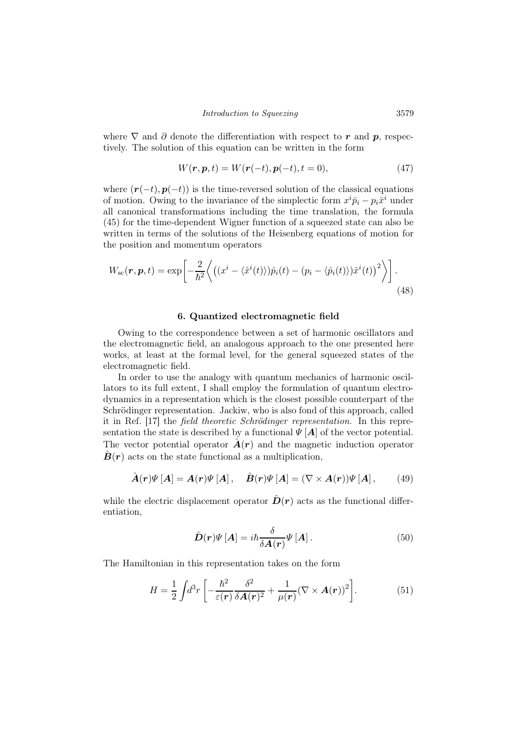where  $\nabla$  and  $\partial$  denote the differentiation with respect to r and p, respectively. The solution of this equation can be written in the form

$$
W(r, p, t) = W(r(-t), p(-t), t = 0),
$$
\n(47)

where  $(r(-t), p(-t))$  is the time-reversed solution of the classical equations of motion. Owing to the invariance of the simplectic form  $x^i \bar{p}_i - p_i \bar{x}^i$  under all canonical transformations including the time translation, the formula (45) for the time-dependent Wigner function of a squeezed state can also be written in terms of the solutions of the Heisenberg equations of motion for the position and momentum operators

$$
W_{\rm sc}(\boldsymbol{r}, \boldsymbol{p}, t) = \exp\left[-\frac{2}{\hbar^2} \left\langle \left( (x^i - \langle \hat{x}^i(t) \rangle) \hat{p}_i(t) - (p_i - \langle \hat{p}_i(t) \rangle) \hat{x}^i(t) \right)^2 \right\rangle \right].
$$
\n(48)

#### 6. Quantized electromagnetic field

Owing to the correspondence between a set of harmonic oscillators and the electromagnetic field, an analogous approach to the one presented here works, at least at the formal level, for the general squeezed states of the electromagnetic field.

In order to use the analogy with quantum mechanics of harmonic oscillators to its full extent, I shall employ the formulation of quantum electrodynamics in a representation which is the closest possible counterpart of the Schrödinger representation. Jackiw, who is also fond of this approach, called it in Ref. [17] the field theoretic Schrödinger representation. In this representation the state is described by a functional  $\Psi[A]$  of the vector potential. The vector potential operator  $\mathbf{A}(\mathbf{r})$  and the magnetic induction operator  $\dot{B}(r)$  acts on the state functional as a multiplication,

$$
\hat{A}(r)\Psi\left[A\right] = A(r)\Psi\left[A\right], \quad \hat{B}(r)\Psi\left[A\right] = (\nabla \times A(r))\Psi\left[A\right], \tag{49}
$$

while the electric displacement operator  $\hat{D}(r)$  acts as the functional differentiation,

$$
\hat{D}(r)\Psi\left[A\right] = i\hbar \frac{\delta}{\delta A(r)}\Psi\left[A\right].\tag{50}
$$

The Hamiltonian in this representation takes on the form

$$
H = \frac{1}{2} \int d^3 r \left[ -\frac{\hbar^2}{\varepsilon(\mathbf{r})} \frac{\delta^2}{\delta \mathbf{A}(\mathbf{r})^2} + \frac{1}{\mu(\mathbf{r})} (\nabla \times \mathbf{A}(\mathbf{r}))^2 \right]. \tag{51}
$$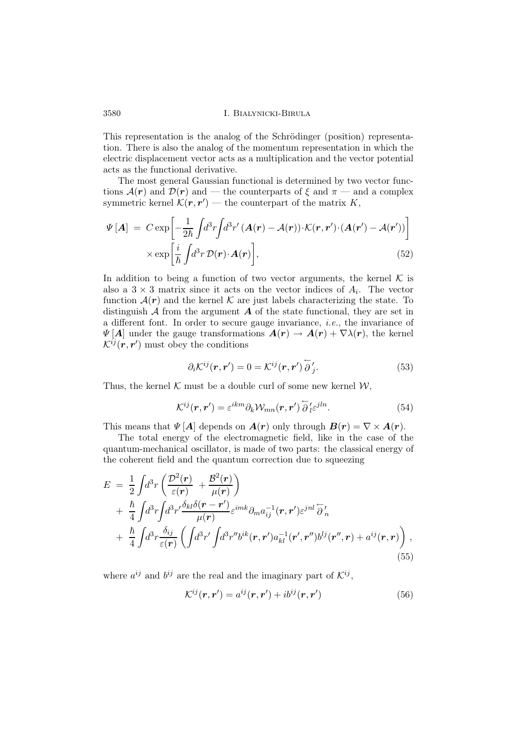This representation is the analog of the Schrödinger (position) representation. There is also the analog of the momentum representation in which the electric displacement vector acts as a multiplication and the vector potential acts as the functional derivative.

The most general Gaussian functional is determined by two vector functions  $\mathcal{A}(r)$  and  $\mathcal{D}(r)$  and — the counterparts of  $\xi$  and  $\pi$  — and a complex symmetric kernel  $\mathcal{K}(\mathbf{r}, \mathbf{r}')$  — the counterpart of the matrix  $K$ ,

$$
\Psi\left[\mathbf{A}\right] = C \exp\left[-\frac{1}{2\hbar} \int d^3r \int d^3r' \left(\mathbf{A}(\mathbf{r}) - \mathbf{\mathcal{A}}(\mathbf{r})\right) \cdot \mathcal{K}(\mathbf{r}, \mathbf{r}') \cdot \left(\mathbf{A}(\mathbf{r}') - \mathbf{\mathcal{A}}(\mathbf{r}')\right)\right] \times \exp\left[\frac{i}{\hbar} \int d^3r \, \mathcal{D}(\mathbf{r}) \cdot \mathbf{A}(\mathbf{r})\right],\tag{52}
$$

In addition to being a function of two vector arguments, the kernel  $\mathcal K$  is also a  $3 \times 3$  matrix since it acts on the vector indices of  $A_i$ . The vector function  $\mathcal{A}(r)$  and the kernel K are just labels characterizing the state. To distinguish  $\mathcal A$  from the argument  $\mathcal A$  of the state functional, they are set in a different font. In order to secure gauge invariance, i.e., the invariance of  $\Psi[A]$  under the gauge transformations  $A(r) \to A(r) + \nabla \lambda(r)$ , the kernel  $\mathcal{K}^{ij}(\boldsymbol{r},\boldsymbol{r}')$  must obey the conditions

$$
\partial_i \mathcal{K}^{ij}(\mathbf{r}, \mathbf{r}') = 0 = \mathcal{K}^{ij}(\mathbf{r}, \mathbf{r}') \overleftarrow{\partial}_j'.
$$
 (53)

Thus, the kernel  $K$  must be a double curl of some new kernel  $W$ ,

$$
\mathcal{K}^{ij}(\mathbf{r}, \mathbf{r}') = \varepsilon^{ikm} \partial_k \mathcal{W}_{mn}(\mathbf{r}, \mathbf{r}') \overleftarrow{\partial}^{\prime}_l \varepsilon^{jln}.
$$
 (54)

This means that  $\Psi[A]$  depends on  $A(r)$  only through  $B(r) = \nabla \times A(r)$ .

The total energy of the electromagnetic field, like in the case of the quantum-mechanical oscillator, is made of two parts: the classical energy of the coherent field and the quantum correction due to squeezing

$$
E = \frac{1}{2} \int d^3r \left( \frac{\mathcal{D}^2(\mathbf{r})}{\varepsilon(\mathbf{r})} + \frac{\mathcal{B}^2(\mathbf{r})}{\mu(\mathbf{r})} \right) + \frac{\hbar}{4} \int d^3r \int d^3r' \frac{\delta_{kl}\delta(\mathbf{r} - \mathbf{r}')}{\mu(\mathbf{r})} \varepsilon^{imk} \partial_m a_{ij}^{-1}(\mathbf{r}, \mathbf{r}') \varepsilon^{jnl} \overleftarrow{\partial}_n + \frac{\hbar}{4} \int d^3r \frac{\delta_{ij}}{\varepsilon(\mathbf{r})} \left( \int d^3r' \int d^3r'' b^{ik}(\mathbf{r}, \mathbf{r}') a_{kl}^{-1}(\mathbf{r}', \mathbf{r}'') b^{lj}(\mathbf{r}'', \mathbf{r}) + a^{ij}(\mathbf{r}, \mathbf{r}) \right),
$$
\n(55)

where  $a^{ij}$  and  $b^{ij}$  are the real and the imaginary part of  $\mathcal{K}^{ij}$ ,

$$
\mathcal{K}^{ij}(\mathbf{r}, \mathbf{r}') = a^{ij}(\mathbf{r}, \mathbf{r}') + ib^{ij}(\mathbf{r}, \mathbf{r}')
$$
\n(56)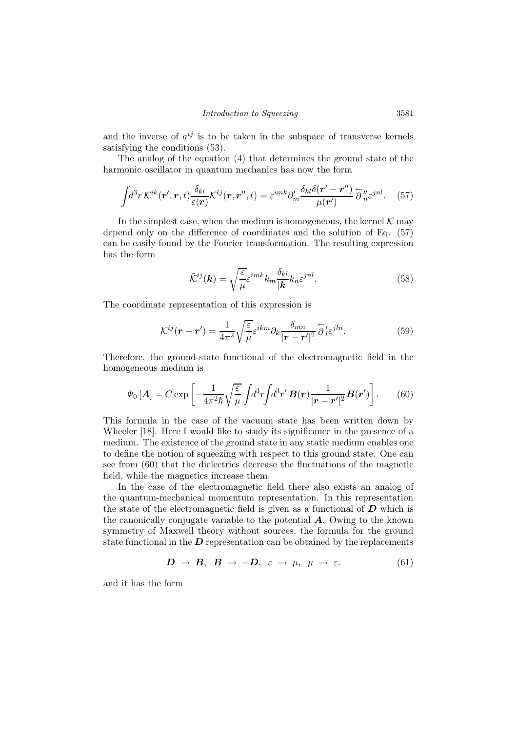and the inverse of  $a^{ij}$  is to be taken in the subspace of transverse kernels satisfying the conditions (53).

The analog of the equation (4) that determines the ground state of the harmonic oscillator in quantum mechanics has now the form

$$
\int d^3r \, \mathcal{K}^{ik}(\mathbf{r}', \mathbf{r}, t) \frac{\delta_{kl}}{\varepsilon(\mathbf{r})} \mathcal{K}^{lj}(\mathbf{r}, \mathbf{r}'', t) = \varepsilon^{imk} \partial'_{m} \frac{\delta_{kl} \delta(\mathbf{r}' - \mathbf{r}'')}{\mu(\mathbf{r}')} \stackrel{\leftharpoonup}{\partial}_{n}^{\prime\prime} \varepsilon^{jnl}.
$$
 (57)

In the simplest case, when the medium is homogeneous, the kernel  $\mathcal K$  may depend only on the difference of coordinates and the solution of Eq. (57) can be easily found by the Fourier transformation. The resulting expression has the form

$$
\tilde{\mathcal{K}}^{ij}(\mathbf{k}) = \sqrt{\frac{\varepsilon}{\mu}} \varepsilon^{imk} k_m \frac{\delta_{kl}}{|\mathbf{k}|} k_n \varepsilon^{jnl}.
$$
\n(58)

The coordinate representation of this expression is

$$
\mathcal{K}^{ij}(\mathbf{r} - \mathbf{r}') = \frac{1}{4\pi^2} \sqrt{\frac{\varepsilon}{\mu}} \varepsilon^{ikm} \partial_k \frac{\delta_{mn}}{|\mathbf{r} - \mathbf{r}'|^2} \overleftarrow{\partial}_l \varepsilon^{jln}.
$$
 (59)

Therefore, the ground-state functional of the electromagnetic field in the homogeneous medium is

$$
\Psi_0\left[\mathbf{A}\right] = C \exp\left[-\frac{1}{4\pi^2\hbar} \sqrt{\frac{\varepsilon}{\mu}} \int d^3r \int d^3r' \, \mathbf{B}(\mathbf{r}) \frac{1}{|\mathbf{r} - \mathbf{r}'|^2} \mathbf{B}(\mathbf{r}')\right].\tag{60}
$$

This formula in the case of the vacuum state has been written down by Wheeler [18]. Here I would like to study its significance in the presence of a medium. The existence of the ground state in any static medium enables one to define the notion of squeezing with respect to this ground state. One can see from (60) that the dielectrics decrease the fluctuations of the magnetic field, while the magnetics increase them.

In the case of the electromagnetic field there also exists an analog of the quantum-mechanical momentum representation. In this representation the state of the electromagnetic field is given as a functional of  $D$  which is the canonically conjugate variable to the potential  $\boldsymbol{A}$ . Owing to the known symmetry of Maxwell theory without sources, the formula for the ground state functional in the  $\bm{D}$  representation can be obtained by the replacements

$$
D \rightarrow B, \ B \rightarrow -D, \ \varepsilon \rightarrow \mu, \ \mu \rightarrow \varepsilon. \tag{61}
$$

and it has the form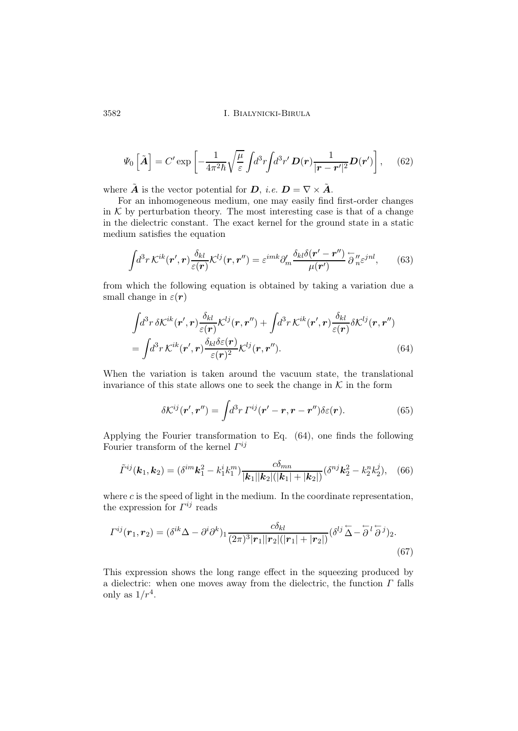$$
\Psi_0\left[\tilde{\mathbf{A}}\right] = C' \exp\left[-\frac{1}{4\pi^2 \hbar} \sqrt{\frac{\mu}{\varepsilon}} \int d^3 r \int d^3 r' \, \mathbf{D}(\mathbf{r}) \frac{1}{|\mathbf{r} - \mathbf{r}'|^2} \mathbf{D}(\mathbf{r}')\right],\tag{62}
$$

where  $\tilde{A}$  is the vector potential for  $D$ , *i.e.*  $D = \nabla \times \tilde{A}$ .

For an inhomogeneous medium, one may easily find first-order changes in  $K$  by perturbation theory. The most interesting case is that of a change in the dielectric constant. The exact kernel for the ground state in a static medium satisfies the equation

$$
\int d^3r \, \mathcal{K}^{ik}(\mathbf{r}',\mathbf{r}) \frac{\delta_{kl}}{\varepsilon(\mathbf{r})} \mathcal{K}^{lj}(\mathbf{r},\mathbf{r}'') = \varepsilon^{imk} \partial'_{m} \frac{\delta_{kl} \delta(\mathbf{r}' - \mathbf{r}'')}{\mu(\mathbf{r}')} \stackrel{\leftarrow}{\partial}_{n}^{\prime\prime} \varepsilon^{jnl}, \tag{63}
$$

from which the following equation is obtained by taking a variation due a small change in  $\varepsilon(\mathbf{r})$ 

$$
\int d^3r \, \delta \mathcal{K}^{ik}(\mathbf{r}',\mathbf{r}) \frac{\delta_{kl}}{\varepsilon(\mathbf{r})} \mathcal{K}^{lj}(\mathbf{r},\mathbf{r}'') + \int d^3r \, \mathcal{K}^{ik}(\mathbf{r}',\mathbf{r}) \frac{\delta_{kl}}{\varepsilon(\mathbf{r})} \delta \mathcal{K}^{lj}(\mathbf{r},\mathbf{r}'')
$$
\n
$$
= \int d^3r \, \mathcal{K}^{ik}(\mathbf{r}',\mathbf{r}) \frac{\delta_{kl}\delta\varepsilon(\mathbf{r})}{\varepsilon(\mathbf{r})^2} \mathcal{K}^{lj}(\mathbf{r},\mathbf{r}''). \tag{64}
$$

When the variation is taken around the vacuum state, the translational invariance of this state allows one to seek the change in  $K$  in the form

$$
\delta \mathcal{K}^{ij}(\mathbf{r}', \mathbf{r}'') = \int d^3r \, \Gamma^{ij}(\mathbf{r}' - \mathbf{r}, \mathbf{r} - \mathbf{r}'') \delta \varepsilon(\mathbf{r}). \tag{65}
$$

Applying the Fourier transformation to Eq. (64), one finds the following Fourier transform of the kernel  $\Gamma^{ij}$ 

$$
\tilde{\Gamma}^{ij}(\mathbf{k}_1,\mathbf{k}_2)=(\delta^{im}\mathbf{k}_1^2-k_1^ik_1^m)\frac{c\delta_{mn}}{|\mathbf{k}_1||\mathbf{k}_2|(|\mathbf{k}_1|+|\mathbf{k}_2|)}(\delta^{nj}\mathbf{k}_2^2-k_2^nk_2^j),\quad(66)
$$

where  $c$  is the speed of light in the medium. In the coordinate representation, the expression for  $\Gamma^{ij}$  reads

$$
\Gamma^{ij}(\mathbf{r}_1, \mathbf{r}_2) = (\delta^{ik}\Delta - \partial^i \partial^k)_{1} \frac{c\delta_{kl}}{(2\pi)^3 |\mathbf{r}_1||\mathbf{r}_2|(|\mathbf{r}_1| + |\mathbf{r}_2|)} (\delta^{lj}\tilde{\Delta} - \tilde{\partial}^l \tilde{\partial}^j)_{2}.
$$
\n(67)

This expression shows the long range effect in the squeezing produced by a dielectric: when one moves away from the dielectric, the function  $\Gamma$  falls only as  $1/r^4$ .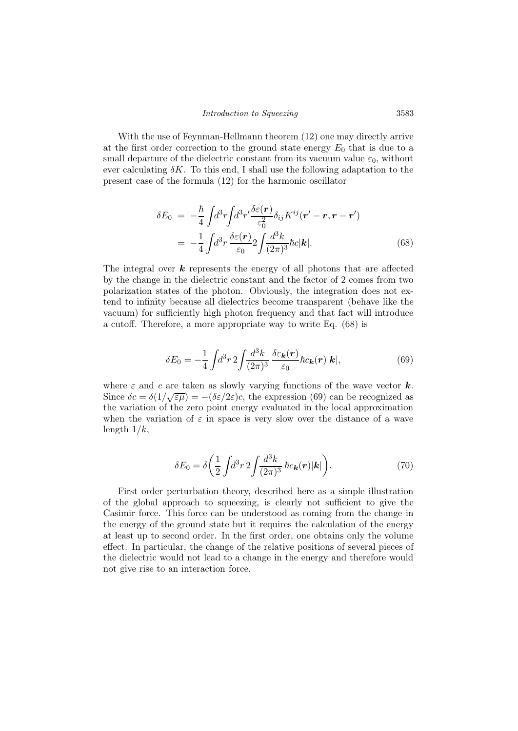With the use of Feynman-Hellmann theorem (12) one may directly arrive at the first order correction to the ground state energy  $E_0$  that is due to a small departure of the dielectric constant from its vacuum value  $\varepsilon_0$ , without ever calculating  $\delta K$ . To this end, I shall use the following adaptation to the present case of the formula (12) for the harmonic oscillator

$$
\delta E_0 = -\frac{\hbar}{4} \int d^3 r \int d^3 r' \frac{\delta \varepsilon(\mathbf{r})}{\varepsilon_0^2} \delta_{ij} K^{ij} (\mathbf{r}' - \mathbf{r}, \mathbf{r} - \mathbf{r}')
$$
  
= 
$$
-\frac{1}{4} \int d^3 r \frac{\delta \varepsilon(\mathbf{r})}{\varepsilon_0} 2 \int \frac{d^3 k}{(2\pi)^3} \hbar c |\mathbf{k}|.
$$
 (68)

The integral over  $k$  represents the energy of all photons that are affected by the change in the dielectric constant and the factor of 2 comes from two polarization states of the photon. Obviously, the integration does not extend to infinity because all dielectrics become transparent (behave like the vacuum) for sufficiently high photon frequency and that fact will introduce a cutoff. Therefore, a more appropriate way to write Eq. (68) is

$$
\delta E_0 = -\frac{1}{4} \int d^3 r \, 2 \int \frac{d^3 k}{(2\pi)^3} \, \frac{\delta \varepsilon_{\mathbf{k}}(\mathbf{r})}{\varepsilon_0} \hbar c_{\mathbf{k}}(\mathbf{r}) |\mathbf{k}|,\tag{69}
$$

where  $\varepsilon$  and  $c$  are taken as slowly varying functions of the wave vector  $\boldsymbol{k}$ . Since  $\delta c = \delta(1/\sqrt{\epsilon \mu}) = -(\delta \epsilon/2\varepsilon)c$ , the expression (69) can be recognized as the variation of the zero point energy evaluated in the local approximation when the variation of  $\varepsilon$  in space is very slow over the distance of a wave length  $1/k$ ,

$$
\delta E_0 = \delta \left( \frac{1}{2} \int d^3 r \, 2 \int \frac{d^3 k}{(2\pi)^3} \, \hbar c_k(\mathbf{r}) |\mathbf{k}| \right). \tag{70}
$$

First order perturbation theory, described here as a simple illustration of the global approach to squeezing, is clearly not sufficient to give the Casimir force. This force can be understood as coming from the change in the energy of the ground state but it requires the calculation of the energy at least up to second order. In the first order, one obtains only the volume effect. In particular, the change of the relative positions of several pieces of the dielectric would not lead to a change in the energy and therefore would not give rise to an interaction force.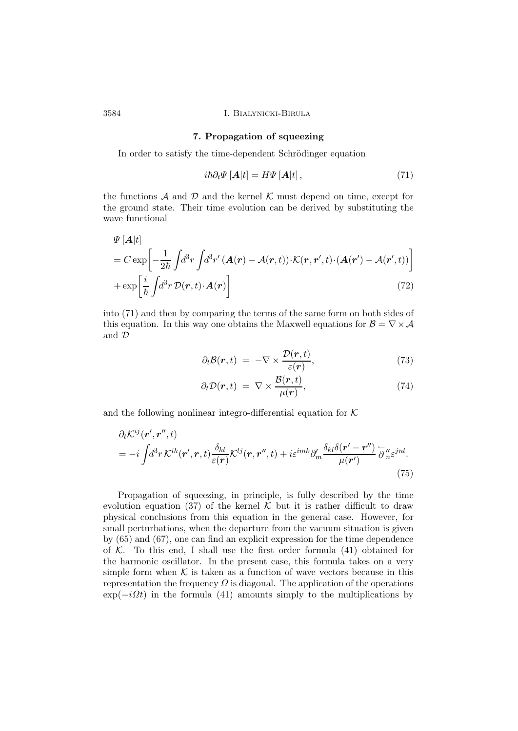#### 7. Propagation of squeezing

In order to satisfy the time-dependent Schrödinger equation

$$
i\hbar \partial_t \Psi \left[ A|t \right] = H \Psi \left[ A|t \right], \tag{71}
$$

the functions  $\mathcal A$  and  $\mathcal D$  and the kernel  $\mathcal K$  must depend on time, except for the ground state. Their time evolution can be derived by substituting the wave functional

$$
\Psi\left[\mathbf{A}|t\right]
$$
\n
$$
= C \exp\left[-\frac{1}{2\hbar} \int d^3r \int d^3r' \left(\mathbf{A}(\mathbf{r}) - \mathcal{A}(\mathbf{r},t)\right) \cdot \mathcal{K}(\mathbf{r},\mathbf{r}',t) \cdot \left(\mathbf{A}(\mathbf{r}') - \mathcal{A}(\mathbf{r}',t)\right)\right]
$$
\n
$$
+ \exp\left[\frac{i}{\hbar} \int d^3r \mathcal{D}(\mathbf{r},t) \cdot \mathbf{A}(\mathbf{r})\right]
$$
\n(72)

into (71) and then by comparing the terms of the same form on both sides of this equation. In this way one obtains the Maxwell equations for  $\mathcal{B} = \nabla \times \mathcal{A}$ and D

$$
\partial_t \mathcal{B}(\mathbf{r}, t) = -\nabla \times \frac{\mathcal{D}(\mathbf{r}, t)}{\varepsilon(\mathbf{r})},\tag{73}
$$

$$
\partial_t \mathcal{D}(\mathbf{r}, t) = \nabla \times \frac{\mathcal{B}(\mathbf{r}, t)}{\mu(\mathbf{r})},\tag{74}
$$

and the following nonlinear integro-differential equation for  $K$ 

$$
\partial_t \mathcal{K}^{ij}(\mathbf{r}', \mathbf{r}'', t) = -i \int d^3 r \, \mathcal{K}^{ik}(\mathbf{r}', \mathbf{r}, t) \frac{\delta_{kl}}{\varepsilon(\mathbf{r})} \mathcal{K}^{lj}(\mathbf{r}, \mathbf{r}'', t) + i \varepsilon^{imk} \partial'_m \frac{\delta_{kl} \delta(\mathbf{r}' - \mathbf{r}'')}{\mu(\mathbf{r}')} \stackrel{\leftarrow}{\partial}_{n}^{\prime\prime} \varepsilon^{jnl}.
$$
\n(75)

Propagation of squeezing, in principle, is fully described by the time evolution equation (37) of the kernel  $K$  but it is rather difficult to draw physical conclusions from this equation in the general case. However, for small perturbations, when the departure from the vacuum situation is given by (65) and (67), one can find an explicit expression for the time dependence of  $K$ . To this end, I shall use the first order formula  $(41)$  obtained for the harmonic oscillator. In the present case, this formula takes on a very simple form when  $K$  is taken as a function of wave vectors because in this representation the frequency  $\Omega$  is diagonal. The application of the operations  $\exp(-i\Omega t)$  in the formula (41) amounts simply to the multiplications by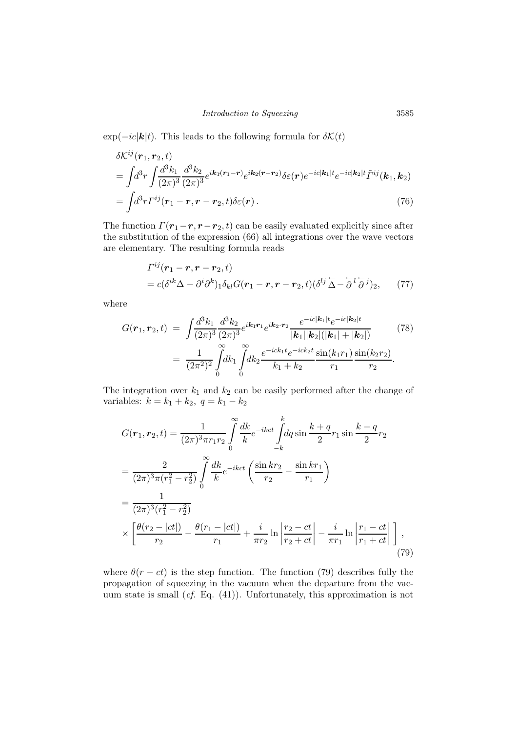$\exp(-ic|\mathbf{k}|t)$ . This leads to the following formula for  $\delta\mathcal{K}(t)$ 

$$
\delta \mathcal{K}^{ij}(\mathbf{r}_1, \mathbf{r}_2, t)
$$
\n
$$
= \int d^3 r \int \frac{d^3 k_1}{(2\pi)^3} \frac{d^3 k_2}{(2\pi)^3} e^{i\mathbf{k}_1(\mathbf{r}_1 - \mathbf{r})} e^{i\mathbf{k}_2(\mathbf{r} - \mathbf{r}_2)} \delta \varepsilon(\mathbf{r}) e^{-ic|\mathbf{k}_1|t} e^{-ic|\mathbf{k}_2|t} \tilde{\Gamma}^{ij}(\mathbf{k}_1, \mathbf{k}_2)
$$
\n
$$
= \int d^3 r \Gamma^{ij}(\mathbf{r}_1 - \mathbf{r}, \mathbf{r} - \mathbf{r}_2, t) \delta \varepsilon(\mathbf{r}). \tag{76}
$$

The function  $\Gamma(\mathbf{r}_1-\mathbf{r},\mathbf{r}-\mathbf{r}_2,t)$  can be easily evaluated explicitly since after the substitution of the expression (66) all integrations over the wave vectors are elementary. The resulting formula reads

$$
\Gamma^{ij}(\mathbf{r}_1 - \mathbf{r}, \mathbf{r} - \mathbf{r}_2, t) \n= c(\delta^{ik}\Delta - \partial^i\partial^k)_1 \delta_{kl} G(\mathbf{r}_1 - \mathbf{r}, \mathbf{r} - \mathbf{r}_2, t) (\delta^{lj}\widetilde{\Delta} - \overleftarrow{\partial}^l \overleftarrow{\partial}^j)_2, \qquad (77)
$$

where

$$
G(\mathbf{r}_1, \mathbf{r}_2, t) = \int \frac{d^3 k_1}{(2\pi)^3} \frac{d^3 k_2}{(2\pi)^3} e^{i\mathbf{k}_1 \mathbf{r}_1} e^{i\mathbf{k}_2 \cdot \mathbf{r}_2} \frac{e^{-ic|\mathbf{k}_1|t} e^{-ic|\mathbf{k}_2|t}}{|\mathbf{k}_1||\mathbf{k}_2|(|\mathbf{k}_1| + |\mathbf{k}_2|)} \n= \frac{1}{(2\pi^2)^2} \int_0^\infty dk_1 \int_0^\infty dk_2 \frac{e^{-ick_1 t} e^{-ick_2 t}}{k_1 + k_2} \frac{\sin(k_1 r_1)}{r_1} \frac{\sin(k_2 r_2)}{r_2}.
$$
\n(78)

The integration over  $k_1$  and  $k_2$  can be easily performed after the change of variables:  $k = k_1 + k_2, q = k_1 - k_2$ 

$$
G(\mathbf{r}_{1}, \mathbf{r}_{2}, t) = \frac{1}{(2\pi)^{3}\pi r_{1}r_{2}} \int_{0}^{\infty} \frac{dk}{k} e^{-ikct} \int_{-k}^{k} dq \sin \frac{k+q}{2} r_{1} \sin \frac{k-q}{2} r_{2}
$$
  
\n
$$
= \frac{2}{(2\pi)^{3}\pi (r_{1}^{2} - r_{2}^{2})} \int_{0}^{\infty} \frac{dk}{k} e^{-ikct} \left( \frac{\sin kr_{2}}{r_{2}} - \frac{\sin kr_{1}}{r_{1}} \right)
$$
  
\n
$$
= \frac{1}{(2\pi)^{3} (r_{1}^{2} - r_{2}^{2})}
$$
  
\n
$$
\times \left[ \frac{\theta(r_{2} - |ct|)}{r_{2}} - \frac{\theta(r_{1} - |ct|)}{r_{1}} + \frac{i}{\pi r_{2}} \ln \left| \frac{r_{2} - ct}{r_{2} + ct} \right| - \frac{i}{\pi r_{1}} \ln \left| \frac{r_{1} - ct}{r_{1} + ct} \right| \right],
$$
\n(79)

where  $\theta(r-ct)$  is the step function. The function (79) describes fully the propagation of squeezing in the vacuum when the departure from the vacuum state is small (cf. Eq. (41)). Unfortunately, this approximation is not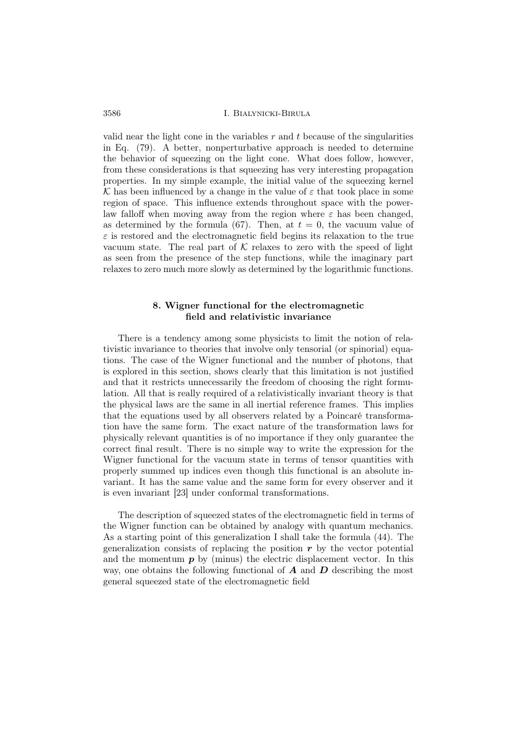valid near the light cone in the variables  $r$  and  $t$  because of the singularities in Eq. (79). A better, nonperturbative approach is needed to determine the behavior of squeezing on the light cone. What does follow, however, from these considerations is that squeezing has very interesting propagation properties. In my simple example, the initial value of the squeezing kernel K has been influenced by a change in the value of  $\varepsilon$  that took place in some region of space. This influence extends throughout space with the powerlaw falloff when moving away from the region where  $\varepsilon$  has been changed, as determined by the formula (67). Then, at  $t = 0$ , the vacuum value of  $\varepsilon$  is restored and the electromagnetic field begins its relaxation to the true vacuum state. The real part of  $K$  relaxes to zero with the speed of light as seen from the presence of the step functions, while the imaginary part relaxes to zero much more slowly as determined by the logarithmic functions.

# 8. Wigner functional for the electromagnetic field and relativistic invariance

There is a tendency among some physicists to limit the notion of relativistic invariance to theories that involve only tensorial (or spinorial) equations. The case of the Wigner functional and the number of photons, that is explored in this section, shows clearly that this limitation is not justified and that it restricts unnecessarily the freedom of choosing the right formulation. All that is really required of a relativistically invariant theory is that the physical laws are the same in all inertial reference frames. This implies that the equations used by all observers related by a Poincaré transformation have the same form. The exact nature of the transformation laws for physically relevant quantities is of no importance if they only guarantee the correct final result. There is no simple way to write the expression for the Wigner functional for the vacuum state in terms of tensor quantities with properly summed up indices even though this functional is an absolute invariant. It has the same value and the same form for every observer and it is even invariant [23] under conformal transformations.

The description of squeezed states of the electromagnetic field in terms of the Wigner function can be obtained by analogy with quantum mechanics. As a starting point of this generalization I shall take the formula (44). The generalization consists of replacing the position  $r$  by the vector potential and the momentum  $p$  by (minus) the electric displacement vector. In this way, one obtains the following functional of  $\boldsymbol{A}$  and  $\boldsymbol{D}$  describing the most general squeezed state of the electromagnetic field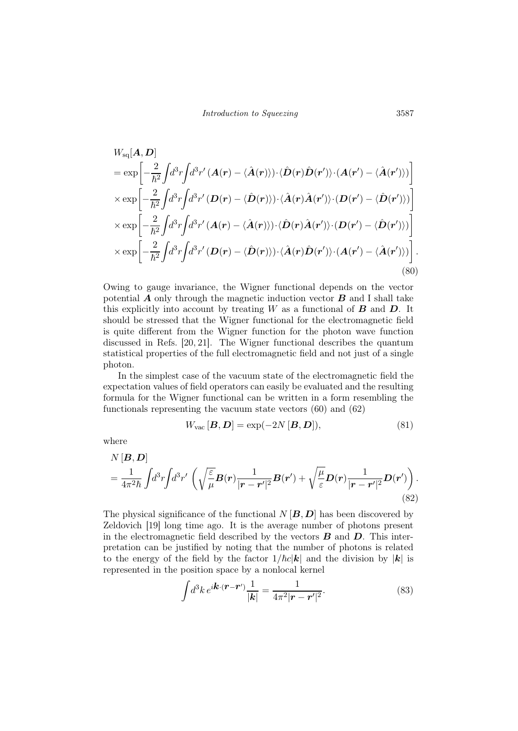$$
W_{\text{sq}}[\boldsymbol{A}, \boldsymbol{D}]
$$
\n
$$
= \exp\left[-\frac{2}{\hbar^2} \int d^3r \int d^3r' \left(\boldsymbol{A}(\boldsymbol{r}) - \langle \hat{\boldsymbol{A}}(\boldsymbol{r}) \rangle \right) \cdot \langle \hat{\boldsymbol{D}}(\boldsymbol{r}) \hat{\boldsymbol{D}}(\boldsymbol{r}') \rangle \cdot \left(\boldsymbol{A}(\boldsymbol{r}') - \langle \hat{\boldsymbol{A}}(\boldsymbol{r}') \rangle \right)\right]
$$
\n
$$
\times \exp\left[-\frac{2}{\hbar^2} \int d^3r \int d^3r' \left(\boldsymbol{D}(\boldsymbol{r}) - \langle \hat{\boldsymbol{D}}(\boldsymbol{r}) \rangle \right) \cdot \langle \hat{\boldsymbol{A}}(\boldsymbol{r}) \hat{\boldsymbol{A}}(\boldsymbol{r}') \rangle \cdot \left(\boldsymbol{D}(\boldsymbol{r}') - \langle \hat{\boldsymbol{D}}(\boldsymbol{r}') \rangle \right)\right]
$$
\n
$$
\times \exp\left[-\frac{2}{\hbar^2} \int d^3r \int d^3r' \left(\boldsymbol{A}(\boldsymbol{r}) - \langle \hat{\boldsymbol{A}}(\boldsymbol{r}) \rangle \right) \cdot \langle \hat{\boldsymbol{D}}(\boldsymbol{r}) \hat{\boldsymbol{A}}(\boldsymbol{r}') \rangle \cdot \left(\boldsymbol{D}(\boldsymbol{r}') - \langle \hat{\boldsymbol{D}}(\boldsymbol{r}') \rangle \right)\right]
$$
\n
$$
\times \exp\left[-\frac{2}{\hbar^2} \int d^3r \int d^3r' \left(\boldsymbol{D}(\boldsymbol{r}) - \langle \hat{\boldsymbol{D}}(\boldsymbol{r}) \rangle \right) \cdot \langle \hat{\boldsymbol{A}}(\boldsymbol{r}) \hat{\boldsymbol{D}}(\boldsymbol{r}') \rangle \cdot \left(\boldsymbol{A}(\boldsymbol{r}') - \langle \hat{\boldsymbol{A}}(\boldsymbol{r}') \rangle \right)\right].
$$
\n(80)

Owing to gauge invariance, the Wigner functional depends on the vector potential  $\boldsymbol{A}$  only through the magnetic induction vector  $\boldsymbol{B}$  and I shall take this explicitly into account by treating  $W$  as a functional of  $\bf{B}$  and  $\bf{D}$ . It should be stressed that the Wigner functional for the electromagnetic field is quite different from the Wigner function for the photon wave function discussed in Refs. [20, 21]. The Wigner functional describes the quantum statistical properties of the full electromagnetic field and not just of a single photon.

In the simplest case of the vacuum state of the electromagnetic field the expectation values of field operators can easily be evaluated and the resulting formula for the Wigner functional can be written in a form resembling the functionals representing the vacuum state vectors (60) and (62)

$$
W_{\text{vac}}\left[\boldsymbol{B}, \boldsymbol{D}\right] = \exp(-2N\left[\boldsymbol{B}, \boldsymbol{D}\right]),\tag{81}
$$

where

$$
N[\boldsymbol{B}, \boldsymbol{D}] = \frac{1}{4\pi^2\hbar} \int d^3r \int d^3r' \left( \sqrt{\frac{\varepsilon}{\mu}} \boldsymbol{B}(\boldsymbol{r}) \frac{1}{|\boldsymbol{r} - \boldsymbol{r}'|^2} \boldsymbol{B}(\boldsymbol{r}') + \sqrt{\frac{\mu}{\varepsilon}} \boldsymbol{D}(\boldsymbol{r}) \frac{1}{|\boldsymbol{r} - \boldsymbol{r}'|^2} \boldsymbol{D}(\boldsymbol{r}') \right).
$$
\n(82)

The physical significance of the functional  $N[\mathbf{B}, \mathbf{D}]$  has been discovered by Zeldovich [19] long time ago. It is the average number of photons present in the electromagnetic field described by the vectors  $\bf{B}$  and  $\bf{D}$ . This interpretation can be justified by noting that the number of photons is related to the energy of the field by the factor  $1/\hbar c|\mathbf{k}|$  and the division by  $|\mathbf{k}|$  is represented in the position space by a nonlocal kernel

$$
\int d^3k \, e^{i\boldsymbol{k}\cdot(\boldsymbol{r}-\boldsymbol{r}')} \frac{1}{|\boldsymbol{k}|} = \frac{1}{4\pi^2 |\boldsymbol{r}-\boldsymbol{r}'|^2}.
$$
\n(83)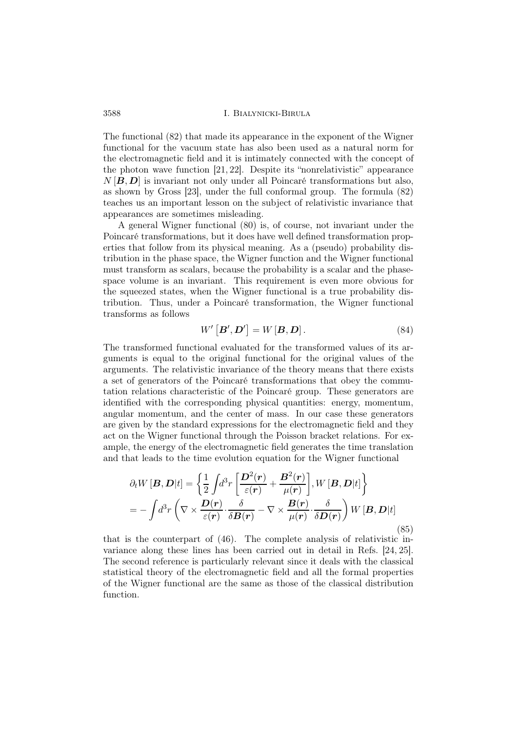The functional (82) that made its appearance in the exponent of the Wigner functional for the vacuum state has also been used as a natural norm for the electromagnetic field and it is intimately connected with the concept of the photon wave function [21, 22]. Despite its "nonrelativistic" appearance  $N[\mathbf{B}, \mathbf{D}]$  is invariant not only under all Poincaré transformations but also, as shown by Gross [23], under the full conformal group. The formula (82) teaches us an important lesson on the subject of relativistic invariance that appearances are sometimes misleading.

A general Wigner functional (80) is, of course, not invariant under the Poincaré transformations, but it does have well defined transformation properties that follow from its physical meaning. As a (pseudo) probability distribution in the phase space, the Wigner function and the Wigner functional must transform as scalars, because the probability is a scalar and the phasespace volume is an invariant. This requirement is even more obvious for the squeezed states, when the Wigner functional is a true probability distribution. Thus, under a Poincaré transformation, the Wigner functional transforms as follows

$$
W'\left[\boldsymbol{B}',\boldsymbol{D}'\right] = W\left[\boldsymbol{B},\boldsymbol{D}\right].\tag{84}
$$

The transformed functional evaluated for the transformed values of its arguments is equal to the original functional for the original values of the arguments. The relativistic invariance of the theory means that there exists a set of generators of the Poincaré transformations that obey the commutation relations characteristic of the Poincaré group. These generators are identified with the corresponding physical quantities: energy, momentum, angular momentum, and the center of mass. In our case these generators are given by the standard expressions for the electromagnetic field and they act on the Wigner functional through the Poisson bracket relations. For example, the energy of the electromagnetic field generates the time translation and that leads to the time evolution equation for the Wigner functional

$$
\partial_t W[\mathbf{B}, \mathbf{D}|t] = \left\{ \frac{1}{2} \int d^3 r \left[ \frac{\mathbf{D}^2(\mathbf{r})}{\varepsilon(\mathbf{r})} + \frac{\mathbf{B}^2(\mathbf{r})}{\mu(\mathbf{r})} \right], W[\mathbf{B}, \mathbf{D}|t] \right\}
$$
  
= 
$$
- \int d^3 r \left( \nabla \times \frac{\mathbf{D}(\mathbf{r})}{\varepsilon(\mathbf{r})} \cdot \frac{\delta}{\delta \mathbf{B}(\mathbf{r})} - \nabla \times \frac{\mathbf{B}(\mathbf{r})}{\mu(\mathbf{r})} \cdot \frac{\delta}{\delta \mathbf{D}(\mathbf{r})} \right) W[\mathbf{B}, \mathbf{D}|t]
$$
(85)

that is the counterpart of (46). The complete analysis of relativistic invariance along these lines has been carried out in detail in Refs. [24, 25]. The second reference is particularly relevant since it deals with the classical statistical theory of the electromagnetic field and all the formal properties of the Wigner functional are the same as those of the classical distribution function.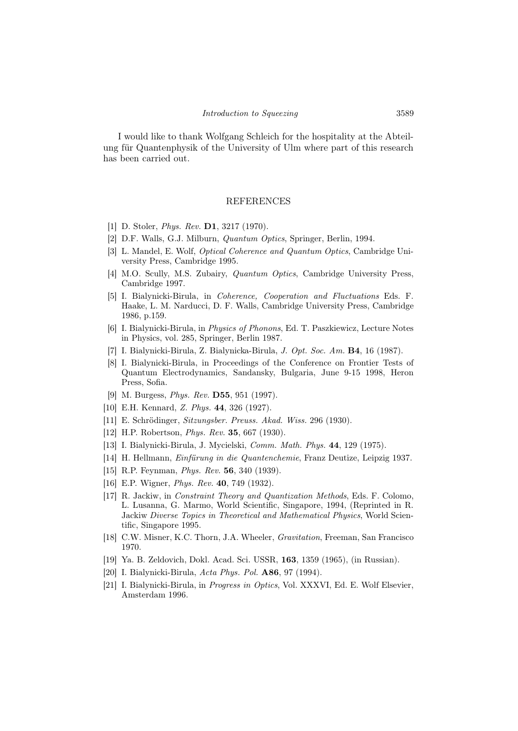I would like to thank Wolfgang Schleich for the hospitality at the Abteilung für Quantenphysik of the University of Ulm where part of this research has been carried out.

#### REFERENCES

- [1] D. Stoler, *Phys. Rev.* **D1**, 3217 (1970).
- [2] D.F. Walls, G.J. Milburn, Quantum Optics, Springer, Berlin, 1994.
- [3] L. Mandel, E. Wolf, Optical Coherence and Quantum Optics, Cambridge University Press, Cambridge 1995.
- [4] M.O. Scully, M.S. Zubairy, Quantum Optics, Cambridge University Press, Cambridge 1997.
- [5] I. Bialynicki-Birula, in Coherence, Cooperation and Fluctuations Eds. F. Haake, L. M. Narducci, D. F. Walls, Cambridge University Press, Cambridge 1986, p.159.
- [6] I. Bialynicki-Birula, in Physics of Phonons, Ed. T. Paszkiewicz, Lecture Notes in Physics, vol. 285, Springer, Berlin 1987.
- [7] I. Bialynicki-Birula, Z. Bialynicka-Birula, J. Opt. Soc. Am. B4, 16 (1987).
- [8] I. Bialynicki-Birula, in Proceedings of the Conference on Frontier Tests of Quantum Electrodynamics, Sandansky, Bulgaria, June 9-15 1998, Heron Press, Sofia.
- [9] M. Burgess, Phys. Rev. D55, 951 (1997).
- [10] E.H. Kennard, Z. Phys. **44**, 326 (1927).
- [11] E. Schrödinger, Sitzungsber. Preuss. Akad. Wiss. 296 (1930).
- [12] H.P. Robertson, *Phys. Rev.* **35**, 667 (1930).
- [13] I. Bialynicki-Birula, J. Mycielski, Comm. Math. Phys. 44, 129 (1975).
- [14] H. Hellmann, Einfürung in die Quantenchemie, Franz Deutize, Leipzig 1937.
- [15] R.P. Feynman, *Phys. Rev.* **56**, 340 (1939).
- [16] E.P. Wigner, *Phys. Rev.* **40**, 749 (1932).
- [17] R. Jackiw, in Constraint Theory and Quantization Methods, Eds. F. Colomo, L. Lusanna, G. Marmo, World Scientific, Singapore, 1994, (Reprinted in R. Jackiw Diverse Topics in Theoretical and Mathematical Physics, World Scientific, Singapore 1995.
- [18] C.W. Misner, K.C. Thorn, J.A. Wheeler, Gravitation, Freeman, San Francisco 1970.
- [19] Ya. B. Zeldovich, Dokl. Acad. Sci. USSR, 163, 1359 (1965), (in Russian).
- [20] I. Bialynicki-Birula, Acta Phys. Pol. A86, 97 (1994).
- [21] I. Bialynicki-Birula, in Progress in Optics, Vol. XXXVI, Ed. E. Wolf Elsevier, Amsterdam 1996.